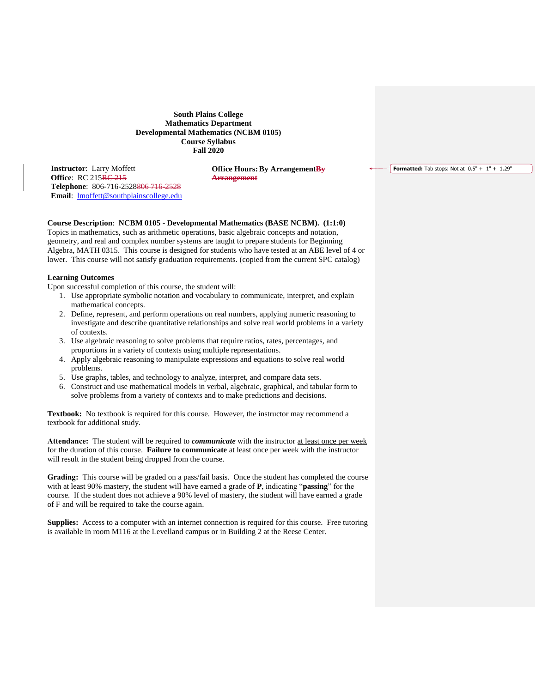**South Plains College Mathematics Department Developmental Mathematics (NCBM 0105) Course Syllabus Fall 2020**

**Instructor**: Larry Moffett **Office: RC 215<del>RC 215</del> Telephone**: 806-716-2528806 716-2528 **Email**: [lmoffett@southplainscollege.edu](mailto:lmoffett@southplainscollege.edu)

**Office Hours: By Arrangement By Arrangement**

**Formatted:** Tab stops: Not at  $0.5" + 1" + 1.29"$ 

# **Course Description**: **NCBM 0105 - Developmental Mathematics (BASE NCBM). (1:1:0)**

Topics in mathematics, such as arithmetic operations, basic algebraic concepts and notation, geometry, and real and complex number systems are taught to prepare students for Beginning Algebra, MATH 0315. This course is designed for students who have tested at an ABE level of 4 or lower. This course will not satisfy graduation requirements. (copied from the current SPC catalog)

## **Learning Outcomes**

Upon successful completion of this course, the student will:

- 1. Use appropriate symbolic notation and vocabulary to communicate, interpret, and explain mathematical concepts.
- 2. Define, represent, and perform operations on real numbers, applying numeric reasoning to investigate and describe quantitative relationships and solve real world problems in a variety of contexts.
- 3. Use algebraic reasoning to solve problems that require ratios, rates, percentages, and proportions in a variety of contexts using multiple representations.
- 4. Apply algebraic reasoning to manipulate expressions and equations to solve real world problems.
- 5. Use graphs, tables, and technology to analyze, interpret, and compare data sets.
- 6. Construct and use mathematical models in verbal, algebraic, graphical, and tabular form to solve problems from a variety of contexts and to make predictions and decisions.

**Textbook:** No textbook is required for this course. However, the instructor may recommend a textbook for additional study.

**Attendance:** The student will be required to *communicate* with the instructor at least once per week for the duration of this course. **Failure to communicate** at least once per week with the instructor will result in the student being dropped from the course.

**Grading:** This course will be graded on a pass/fail basis. Once the student has completed the course with at least 90% mastery, the student will have earned a grade of **P**, indicating "**passing**" for the course. If the student does not achieve a 90% level of mastery, the student will have earned a grade of F and will be required to take the course again.

**Supplies:** Access to a computer with an internet connection is required for this course. Free tutoring is available in room M116 at the Levelland campus or in Building 2 at the Reese Center.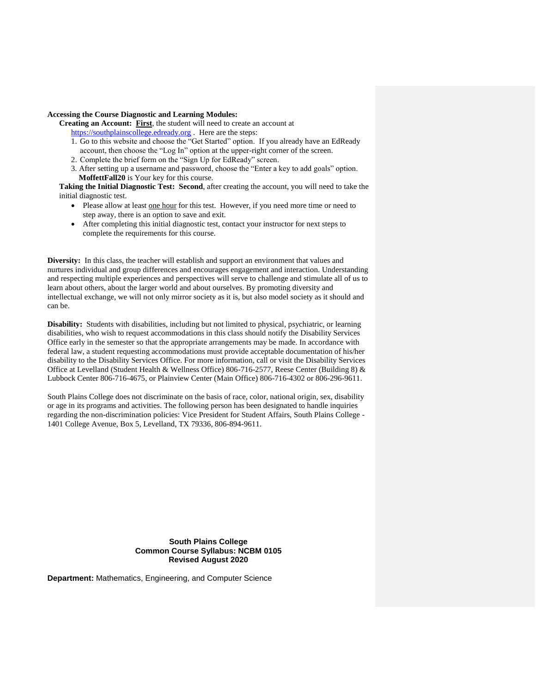# **Accessing the Course Diagnostic and Learning Modules:**

**Creating an Account: First**, the student will need to create an account at [https://southplainscollege.edready.org](https://southplainscollege.edready.org/) . Here are the steps:

- 1. Go to this website and choose the "Get Started" option. If you already have an EdReady account, then choose the "Log In" option at the upper-right corner of the screen.
- 2. Complete the brief form on the "Sign Up for EdReady" screen.
- 3. After setting up a username and password, choose the "Enter a key to add goals" option. **MoffettFall20** is Your key for this course.

**Taking the Initial Diagnostic Test: Second**, after creating the account, you will need to take the initial diagnostic test.

- Please allow at least one hour for this test. However, if you need more time or need to step away, there is an option to save and exit.
- After completing this initial diagnostic test, contact your instructor for next steps to complete the requirements for this course.

**Diversity:** In this class, the teacher will establish and support an environment that values and nurtures individual and group differences and encourages engagement and interaction. Understanding and respecting multiple experiences and perspectives will serve to challenge and stimulate all of us to learn about others, about the larger world and about ourselves. By promoting diversity and intellectual exchange, we will not only mirror society as it is, but also model society as it should and can be.

**Disability:** Students with disabilities, including but not limited to physical, psychiatric, or learning disabilities, who wish to request accommodations in this class should notify the Disability Services Office early in the semester so that the appropriate arrangements may be made. In accordance with federal law, a student requesting accommodations must provide acceptable documentation of his/her disability to the Disability Services Office. For more information, call or visit the Disability Services Office at Levelland (Student Health & Wellness Office) 806-716-2577, Reese Center (Building 8) & Lubbock Center 806-716-4675, or Plainview Center (Main Office) 806-716-4302 or 806-296-9611.

South Plains College does not discriminate on the basis of race, color, national origin, sex, disability or age in its programs and activities. The following person has been designated to handle inquiries regarding the non-discrimination policies: Vice President for Student Affairs, South Plains College - 1401 College Avenue, Box 5, Levelland, TX 79336, 806-894-9611.

# **South Plains College Common Course Syllabus: NCBM 0105 Revised August 2020**

**Department:** Mathematics, Engineering, and Computer Science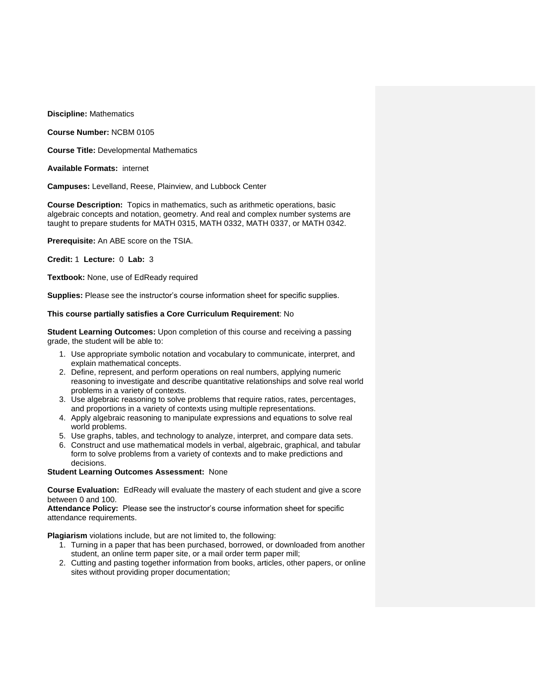**Discipline:** Mathematics

**Course Number:** NCBM 0105

**Course Title:** Developmental Mathematics

**Available Formats:** internet

**Campuses:** Levelland, Reese, Plainview, and Lubbock Center

**Course Description:** Topics in mathematics, such as arithmetic operations, basic algebraic concepts and notation, geometry. And real and complex number systems are taught to prepare students for MATH 0315, MATH 0332, MATH 0337, or MATH 0342.

**Prerequisite:** An ABE score on the TSIA.

**Credit:** 1 **Lecture:** 0 **Lab:** 3

**Textbook:** None, use of EdReady required

**Supplies:** Please see the instructor's course information sheet for specific supplies.

## **This course partially satisfies a Core Curriculum Requirement**: No

**Student Learning Outcomes:** Upon completion of this course and receiving a passing grade, the student will be able to:

- 1. Use appropriate symbolic notation and vocabulary to communicate, interpret, and explain mathematical concepts.
- 2. Define, represent, and perform operations on real numbers, applying numeric reasoning to investigate and describe quantitative relationships and solve real world problems in a variety of contexts.
- 3. Use algebraic reasoning to solve problems that require ratios, rates, percentages, and proportions in a variety of contexts using multiple representations.
- 4. Apply algebraic reasoning to manipulate expressions and equations to solve real world problems.
- 5. Use graphs, tables, and technology to analyze, interpret, and compare data sets.
- 6. Construct and use mathematical models in verbal, algebraic, graphical, and tabular form to solve problems from a variety of contexts and to make predictions and decisions.

#### **Student Learning Outcomes Assessment:** None

**Course Evaluation:** EdReady will evaluate the mastery of each student and give a score between 0 and 100.

**Attendance Policy:** Please see the instructor's course information sheet for specific attendance requirements.

**Plagiarism** violations include, but are not limited to, the following:

- 1. Turning in a paper that has been purchased, borrowed, or downloaded from another student, an online term paper site, or a mail order term paper mill;
- 2. Cutting and pasting together information from books, articles, other papers, or online sites without providing proper documentation;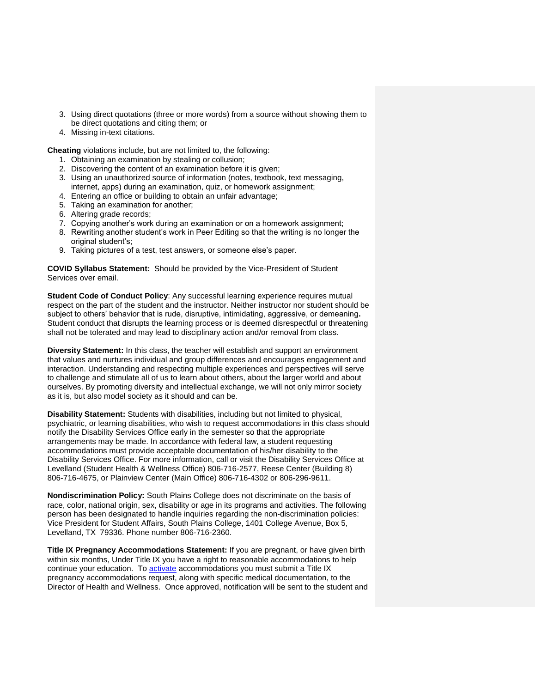- 3. Using direct quotations (three or more words) from a source without showing them to be direct quotations and citing them; or
- 4. Missing in-text citations.

**Cheating** violations include, but are not limited to, the following:

- 1. Obtaining an examination by stealing or collusion;
- 2. Discovering the content of an examination before it is given;
- 3. Using an unauthorized source of information (notes, textbook, text messaging, internet, apps) during an examination, quiz, or homework assignment;
- 4. Entering an office or building to obtain an unfair advantage;
- 5. Taking an examination for another;
- 6. Altering grade records;
- 7. Copying another's work during an examination or on a homework assignment;
- 8. Rewriting another student's work in Peer Editing so that the writing is no longer the original student's;
- 9. Taking pictures of a test, test answers, or someone else's paper.

**COVID Syllabus Statement:** Should be provided by the Vice-President of Student Services over email.

**Student Code of Conduct Policy:** Any successful learning experience requires mutual respect on the part of the student and the instructor. Neither instructor nor student should be subject to others' behavior that is rude, disruptive, intimidating, aggressive, or demeaning**.**  Student conduct that disrupts the learning process or is deemed disrespectful or threatening shall not be tolerated and may lead to disciplinary action and/or removal from class.

**Diversity Statement:** In this class, the teacher will establish and support an environment that values and nurtures individual and group differences and encourages engagement and interaction. Understanding and respecting multiple experiences and perspectives will serve to challenge and stimulate all of us to learn about others, about the larger world and about ourselves. By promoting diversity and intellectual exchange, we will not only mirror society as it is, but also model society as it should and can be.

**Disability Statement:** Students with disabilities, including but not limited to physical, psychiatric, or learning disabilities, who wish to request accommodations in this class should notify the Disability Services Office early in the semester so that the appropriate arrangements may be made. In accordance with federal law, a student requesting accommodations must provide acceptable documentation of his/her disability to the Disability Services Office. For more information, call or visit the Disability Services Office at Levelland (Student Health & Wellness Office) 806-716-2577, Reese Center (Building 8) 806-716-4675, or Plainview Center (Main Office) 806-716-4302 or 806-296-9611.

**Nondiscrimination Policy:** South Plains College does not discriminate on the basis of race, color, national origin, sex, disability or age in its programs and activities. The following person has been designated to handle inquiries regarding the non-discrimination policies: Vice President for Student Affairs, South Plains College, 1401 College Avenue, Box 5, Levelland, TX 79336. Phone number 806-716-2360.

**Title IX Pregnancy Accommodations Statement:** If you are pregnant, or have given birth within six months, Under Title IX you have a right to reasonable accommodations to help continue your education. To [activate](http://www.southplainscollege.edu/employees/manualshandbooks/facultyhandbook/sec4.php) accommodations you must submit a Title IX pregnancy accommodations request, along with specific medical documentation, to the Director of Health and Wellness. Once approved, notification will be sent to the student and